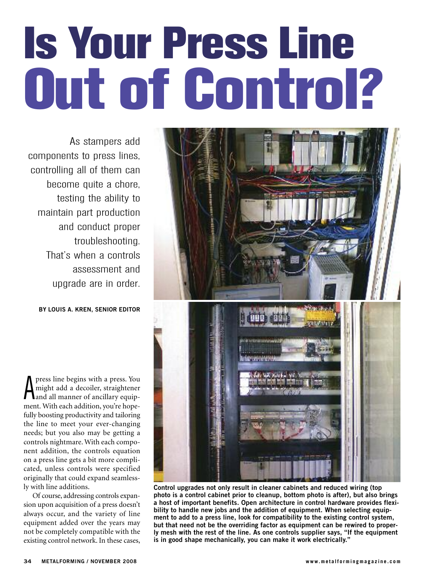# **Is Your Press Line Out of Control?**

As stampers add components to press lines, controlling all of them can become quite a chore, testing the ability to maintain part production and conduct proper troubleshooting. That's when a controls assessment and upgrade are in order.

**BY LOUIS A. KREN, SENIOR EDITOR**

**A** press line begins with a press. rou<br>
might add a decoiler, straightener<br>
and all manner of ancillary equippress line begins with a press. You might add a decoiler, straightener ment. With each addition, you're hopefully boosting productivity and tailoring the line to meet your ever-changing needs; but you also may be getting a controls nightmare. With each component addition, the controls equation on a press line gets a bit more complicated, unless controls were specified originally that could expand seamlessly with line additions.

Of course, addressing controls expansion upon acquisition of a press doesn't always occur, and the variety of line equipment added over the years may not be completely compatible with the existing control network. In these cases,



**Control upgrades not only result in cleaner cabinets and reduced wiring (top photo is a control cabinet prior to cleanup, bottom photo is after), but also brings a host of important benefits. Open architecture in control hardware provides flexibility to handle new jobs and the addition of equipment. When selecting equipment to add to a press line, look for compatibility to the existing control system, but that need not be the overriding factor as equipment can be rewired to properly mesh with the rest of the line. As one controls supplier says, "If the equipment is in good shape mechanically, you can make it work electrically."**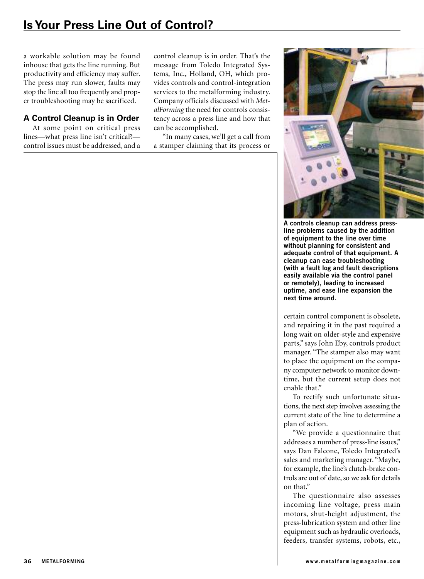## **IsYour Press Line Out of Control?**

a workable solution may be found inhouse that gets the line running. But productivity and efficiency may suffer. The press may run slower, faults may stop the line all too frequently and proper troubleshooting may be sacrificed.

### **A Control Cleanup is in Order**

At some point on critical press lines—what press line isn't critical? control issues must be addressed, and a control cleanup is in order. That's the message from Toledo Integrated Systems, Inc., Holland, OH, which provides controls and control-integration services to the metalforming industry. Company officials discussed with *MetalForming* the need for controls consistency across a press line and how that can be accomplished.

"In many cases, we'll get a call from a stamper claiming that its process or



**A controls cleanup can address pressline problems caused by the addition of equipment to the line over time without planning for consistent and adequate control of that equipment. A cleanup can ease troubleshooting (with a fault log and fault descriptions easily available via the control panel or remotely), leading to increased uptime, and ease line expansion the next time around.**

certain control component is obsolete, and repairing it in the past required a long wait on older-style and expensive parts," says John Eby, controls product manager. "The stamper also may want to place the equipment on the company computer network to monitor downtime, but the current setup does not enable that."

To rectify such unfortunate situations, the next step involves assessing the current state of the line to determine a plan of action.

"We provide a questionnaire that addresses a number of press-line issues," says Dan Falcone, Toledo Integrated's sales and marketing manager. "Maybe, for example, the line's clutch-brake controls are out of date, so we ask for details on that."

The questionnaire also assesses incoming line voltage, press main motors, shut-height adjustment, the press-lubrication system and other line equipment such as hydraulic overloads, feeders, transfer systems, robots, etc.,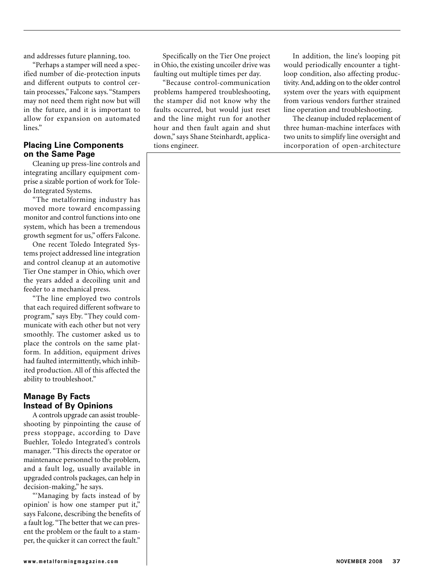and addresses future planning, too.

"Perhaps a stamper will need a specified number of die-protection inputs and different outputs to control certain processes," Falcone says. "Stampers may not need them right now but will in the future, and it is important to allow for expansion on automated lines."

#### **Placing Line Components on the Same Page**

Cleaning up press-line controls and integrating ancillary equipment comprise a sizable portion of work for Toledo Integrated Systems.

"The metalforming industry has moved more toward encompassing monitor and control functions into one system, which has been a tremendous growth segment for us," offers Falcone.

One recent Toledo Integrated Systems project addressed line integration and control cleanup at an automotive Tier One stamper in Ohio, which over the years added a decoiling unit and feeder to a mechanical press.

"The line employed two controls that each required different software to program," says Eby. "They could communicate with each other but not very smoothly. The customer asked us to place the controls on the same platform. In addition, equipment drives had faulted intermittently, which inhibited production. All of this affected the ability to troubleshoot."

#### **Manage By Facts Instead of By Opinions**

A controls upgrade can assist troubleshooting by pinpointing the cause of press stoppage, according to Dave Buehler, Toledo Integrated's controls manager. "This directs the operator or maintenance personnel to the problem, and a fault log, usually available in upgraded controls packages, can help in decision-making," he says.

"'Managing by facts instead of by opinion' is how one stamper put it," says Falcone, describing the benefits of a fault log. "The better that we can present the problem or the fault to a stamper, the quicker it can correct the fault."

Specifically on the Tier One project in Ohio, the existing uncoiler drive was faulting out multiple times per day.

"Because control-communication problems hampered troubleshooting, the stamper did not know why the faults occurred, but would just reset and the line might run for another hour and then fault again and shut down," says Shane Steinhardt, applications engineer.

In addition, the line's looping pit would periodically encounter a tightloop condition, also affecting productivity.And, adding on to the older control system over the years with equipment from various vendors further strained line operation and troubleshooting.

The cleanup included replacement of three human-machine interfaces with two units to simplify line oversight and incorporation of open-architecture